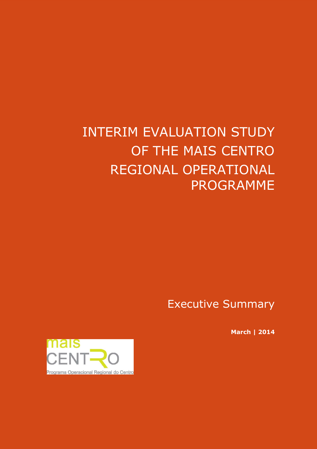# INTERIM EVALUATION STUDY OF THE MAIS CENTRO REGIONAL OPERATIONAL PROGRAMME

Executive Summary

**March | 2014**

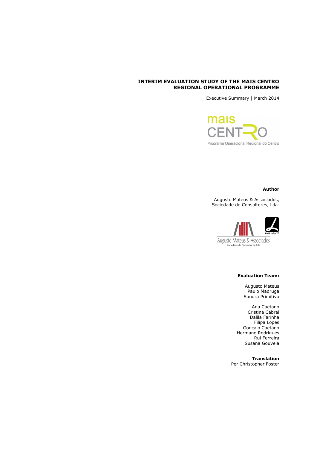# **INTERIM EVALUATION STUDY OF THE MAIS CENTRO REGIONAL OPERATIONAL PROGRAMME**

Executive Summary | March 2014

mais CEI Programa Operacional Regional do Centro

## **Author**

Augusto Mateus & Associados, Sociedade de Consultores, Lda.



tade de Con res. Lda

# **Evaluation Team:**

Augusto Mateus Paulo Madruga Sandra Primitivo

Ana Caetano Cristina Cabral Dalila Farinha Filipa Lopes Gonçalo Caetano Hermano Rodrigues Rui Ferreira Susana Gouveia

**Translation** Per Christopher Foster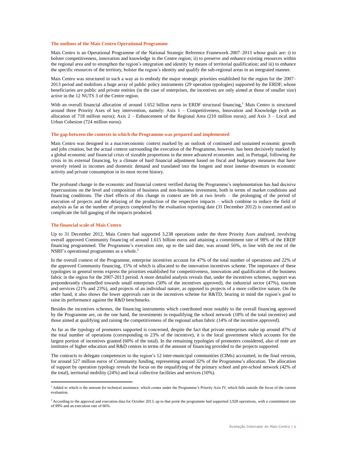#### **The outlines of the Mais Centro Operational Programme**

Mais Centro is an Operational Programme of the National Strategic Reference Framework 2007–2013 whose goals are: i) to bolster competitiveness, innovation and knowledge in the Centre region; ii) to preserve and enhance existing resources within the regional area and to strengthen the region's integration and identity by means of territorial qualification; and iii) to enhance the specific resources of the territory, bolster the region's identity and qualify the sub-regional areas in an integrated manner.

Mais Centro was structured in such a way as to embody the major strategic priorities established for the region for the 2007– 2013 period and mobilises a huge array of public policy instruments (29 operation typologies) supported by the ERDF, whose beneficiaries are public and private entities (in the case of enterprises, the incentives are only aimed at those of smaller size) active in the 12 NUTS 3 of the Centre region.

With an overall financial allocation of around 1.652 billion euros in ERDF structural financing, $<sup>1</sup>$  Mais Centro is structured</sup> around three Priority Axes of key intervention, namely: Axis 1 – Competitiveness, Innovation and Knowledge (with an allocation of 718 million euros); Axis 2 – Enhancement of the Regional Area (210 million euros); and Axis 3 – Local and Urban Cohesion (724 million euros).

#### **The gap between the contexts in which the Programme was prepared and implemented**

Mais Centro was designed in a macroeconomic context marked by an outlook of continued and sustained economic growth and jobs creation, but the actual context surrounding the execution of the Programme, however, has been decisively marked by a global economic and financial crisis of sizeable proportions in the more advanced economies and, in Portugal, following the crisis in its external financing, by a climate of hard financial adjustment based on fiscal and budgetary measures that have severely reined in incomes and domestic demand and translated into the longest and most intense downturn in economic activity and private consumption in its most recent history.

The profound change in the economic and financial context verified during the Programme's implementation has had decisive repercussions on the level and composition of business and non-business investment, both in terms of market conditions and financing conditions. The chief effects of this change in context are felt at two levels – the prolonging of the period of execution of projects and the delaying of the production of the respective impacts – which combine to reduce the field of analysis as far as the number of projects completed by the evaluation reporting date (31 December 2012) is concerned and to complicate the full gauging of the impacts produced.

#### **The financial scale of Mais Centro**

i.

Up to 31 December 2012, Mais Centro had supported 3,238 operations under the three Priority Axes analysed, involving overall approved Community financing of around 1.615 billion euros and attaining a commitment rate of 98% of the ERDF financing programmed. The Programme's execution rate, up to the said date, was around 56%, in line with the rest of the NSRF's operational programmes as a whole.<sup>2</sup>

In the overall context of the Programme, enterprise incentives account for 47% of the total number of operations and 22% of the approved Community financing, 15% of which is allocated to the innovation incentives scheme. The importance of these typologies in general terms express the priorities established for competitiveness, innovation and qualification of the business fabric in the region for the 2007-2013 period. A more detailed analysis reveals that, under the incentives schemes, support was preponderantly channelled towards small enterprises (50% of the incentives approved), the industrial sector (47%), tourism and services (21% and 23%), and projects of an individual nature, as opposed to projects of a more collective nature. On the other hand, it also shows the lower approvals rate in the incentives scheme for R&TD, bearing in mind the region's goal to raise its performance against the R&D benchmarks.

Besides the incentives schemes, the financing instruments which contributed most notably to the overall financing approved by the Programme are, on the one hand, the investments in requalifying the school network (18% of the total incentive) and those aimed at qualifying and raising the competitiveness of the regional urban fabric (14% of the incentive approved).

As far as the typology of promoters supported is concerned, despite the fact that private enterprises make up around 47% of the total number of operations (corresponding to 23% of the incentive), it is the local government which accounts for the largest portion of incentives granted (60% of the total). In the remaining typologies of promoters considered, also of note are institutes of higher education and R&D centres in terms of the amount of financing provided to the projects supported.

The contracts to delegate competences to the region's 12 inter-municipal communities (CIMs) accounted, in the final version, for around 527 million euros of Community funding, representing around 32% of the Programme's allocation. The allocation of support by operation typology reveals the focus on the requalifying of the primary school and pre-school network (42% of the total), territorial mobility (24%) and local collective facilities and services (10%).

<sup>&</sup>lt;sup>1</sup> Added to which is the amount for technical assistance, which comes under the Programme's Priority Axis IV, which falls outside the focus of the current evaluation.

 $^2$  According to the approval and execution data for October 2013, up to that point the programme had supported 3,928 operations, with a commitment rate of 99% and an execution rate of 66%.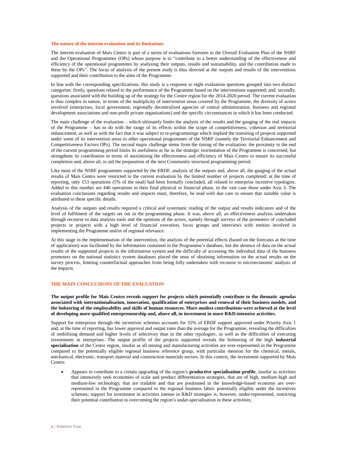#### **The nature of the interim evaluation and its limitations**

The interim evaluation of Mais Centro is part of a series of evaluations foreseen in the Overall Evaluation Plan of the NSRF and the Operational Programmes (OPs) whose purpose is to "contribute to a better understanding of the effectiveness and efficiency of the operational programmes by analysing their outputs, results and sustainability, and the contribution made to these by the OPs". The focus of analysis of the present study is thus directed at the outputs and results of the interventions supported and their contribution to the aims of the Programme.

In line with the corresponding specifications, this study is a response to eight evaluation questions grouped into two distinct categories: firstly, questions related to the performance of the Programme based on the interventions supported; and, secondly, questions associated with the building up of the strategy for the Centre region for the 2014-2020 period. The current evaluation is thus complex in nature, in terms of the multiplicity of intervention areas covered by the Programme, the diversity of actors involved (enterprises, local government, regionally decentralised agencies of central administration, business and regional development associations and non-profit private organisations) and the specific circumstances in which it has been conducted.

The main challenge of the evaluation – which ultimately limits the analysis of the results and the gauging of the real impacts of the Programme – has to do with the range of its effects within the scope of competitiveness, cohesion and territorial enhancement, as well as with the fact that it was subject to re-programmings which implied the transiting of projects supported under some of its intervention areas to other operational programmes of the NSRF (namely the Territorial Enhancement and Competitiveness Factors OPs). The second major challenge stems from the timing of the evaluation: the proximity to the end of the current programming period limits its usefulness as far as the strategic reorientation of the Programme is concerned, but strengthens its contribution in terms of maximising the effectiveness and efficiency of Mais Centro to ensure its successful completion and, above all, to aid the preparation of the next Community structural programming period.

Like most of the NSRF programmes supported by the ERDF, analysis of the outputs and, above all, the gauging of the actual results of Mais Centro were restricted in the current evaluation by the limited number of projects completed: at the time of reporting, only 153 operations (5% of the total) had been formally concluded, all related to enterprise incentive typologies. Added to this number are 446 operations in their final physical or financial phase, in the vast case those under Axis 3. The evaluation conclusions regarding results and impacts must, therefore, be read with due care to ensure that suitable value is attributed to these specific details.

Analysis of the outputs and results required a critical and systematic reading of the output and results indicators and of the level of fulfilment of the targets set out in the programming phase. It was, above all, an effectiveness analysis undertaken through recourse to data analysis tools and the opinions of the actors, namely through surveys of the promoters of concluded projects or projects with a high level of financial execution, focus groups and interviews with entities involved in implementing the Programme and/or of regional relevance.

At this stage in the implementation of the intervention, the analysis of the potential effects (based on the forecasts at the time of application) was facilitated by the information contained in the Programme's database, but the absence of data on the actual results of the supported projects in the information system and the difficulty of accessing the individual data of the business promoters on the national statistics system databases placed the onus of obtaining information on the actual results on the survey process, limiting counterfactual approaches from being fully undertaken with recourse to microeconomic analysis of the impacts.

## **THE MAIN CONCLUSIONS OF THE EVALUATION**

**The output profile for Mais Centro reveals support for projects which potentially contribute to the thematic agendas associated with internationalisation, innovation, qualification of enterprises and renewal of their business models, and the bolstering of the employability and skills of human resources. More modest contributions were achieved at the level of developing more qualified entrepreneurship and, above all, in investment in more R&D-intensive activities.**

Support for enterprises through the incentives schemes accounts for 55% of ERDF support approved under Priority Axis 1 and, at the time of reporting, has lower approval and output rates than the average for the Programme, revealing the difficulties of mobilising demand and higher levels of selectivity than in the other typologies, as well as the difficulties of executing investments in enterprises. The output profile of the projects supported reveals the bolstering of the high **industrial specialisation** of the Centre region, insofar as all mining and manufacturing activities are over-represented in the Programme compared to the potentially eligible regional business reference group, with particular mention for the chemical, metals, mechanical, electronic, transport material and construction materials sectors. In this context, the investment supported by Mais Centro:

 Appears to contribute to a certain upgrading of the region's **productive specialisation profile**, insofar as activities that intensively seek economies of scale and product differentiation strategies, that are of high, medium-high and medium-low technology, that are tradable and that are positioned in the knowledge-based economy are overrepresented in the Programme compared to the regional business fabric potentially eligible under the incentives schemes; support for investment in activities intense in R&D strategies is, however, under-represented, restricting their potential contribution to overcoming the region's under-specialisation in these activities;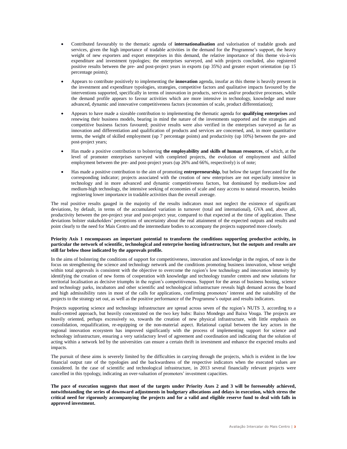- Contributed favourably to the thematic agenda of **internationalisation** and valorisation of tradable goods and services, given the high importance of tradable activities in the demand for the Programme's support, the heavy weight of new exporters and export enterprises in this demand, the relative importance of this theme vis-à-vis expenditure and investment typologies; the enterprises surveyed, and with projects concluded, also registered positive results between the pre- and post-project years in exports (up 35%) and greater export orientation (up 15 percentage points);
- Appears to contribute positively to implementing the **innovation** agenda, insofar as this theme is heavily present in the investment and expenditure typologies, strategies, competitive factors and qualitative impacts favoured by the interventions supported, specifically in terms of innovation in products, services and/or productive processes, while the demand profile appears to favour activities which are more intensive in technology, knowledge and more advanced, dynamic and innovative competitiveness factors (economies of scale, product differentiation);
- Appears to have made a sizeable contribution to implementing the thematic agenda for **qualifying enterprises** and renewing their business models, bearing in mind the nature of the investments supported and the strategies and competitive business factors favoured; positive results were also verified in the enterprises surveyed as far as innovation and differentiation and qualification of products and services are concerned, and, in more quantitative terms, the weight of skilled employment (up 7 percentage points) and productivity (up 10%) between the pre- and post-project years;
- Has made a positive contribution to bolstering **the employability and skills of human resources**, of which, at the level of promoter enterprises surveyed with completed projects, the evolution of employment and skilled employment between the pre- and post-project years (up 26% and 66%, respectively) is of note;
- Has made a positive contribution to the aim of promoting **entrepreneurship**, but below the target forecasted for the corresponding indicator; projects associated with the creation of new enterprises are not especially intensive in technology and in more advanced and dynamic competitiveness factors, but dominated by medium-low and medium-high technology, the intensive seeking of economies of scale and easy access to natural resources, besides registering lower importance in tradable activities than the overall average.

The real positive results gauged in the majority of the results indicators must not neglect the existence of significant deviations, by default, in terms of the accumulated variation in turnover (total and international), GVA and, above all, productivity between the pre-project year and post-project year, compared to that expected at the time of application. These deviations bolster stakeholders' perceptions of uncertainty about the real attainment of the expected outputs and results and point clearly to the need for Mais Centro and the intermediate bodies to accompany the projects supported more closely.

## **Priority Axis 1 encompasses an important potential to transform the conditions supporting productive activity, in particular the network of scientific, technological and enterprise hosting infrastructure, but the outputs and results are still far below those indicated by the approvals profile.**

In the aims of bolstering the conditions of support for competitiveness, innovation and knowledge in the region, of note is the focus on strengthening the science and technology network and the conditions promoting business innovation, whose weight within total approvals is consistent with the objective to overcome the region's low technology and innovation intensity by identifying the creation of new forms of cooperation with knowledge and technology transfer centres and new solutions for territorial localisation as decisive triumphs in the region's competitiveness. Support for the areas of business hosting, science and technology parks, incubators and other scientific and technological infrastructure reveals high demand across the board and high admissibility rates in most of the calls for applications, confirming promoters' interest and the suitability of the projects to the strategy set out, as well as the positive performance of the Programme's output and results indicators.

Projects supporting science and technology infrastructure are spread across seven of the region's NUTS 3, according to a multi-centred approach, but heavily concentrated on the two key hubs: Baixo Mondego and Baixo Vouga. The projects are heavily oriented, perhaps excessively so, towards the creation of new physical infrastructure, with little emphasis on consolidation, requalification, re-equipping or the non-material aspect. Relational capital between the key actors in the regional innovation ecosystem has improved significantly with the process of implementing support for science and technology infrastructure, ensuring a very satisfactory level of agreement and coordination and indicating that the solution of acting within a network led by the universities can ensure a certain thrift in investment and enhance the expected results and impacts.

The pursuit of these aims is severely limited by the difficulties in carrying through the projects, which is evident in the low financial output rate of the typologies and the backwardness of the respective indicators when the executed values are considered. In the case of scientific and technological infrastructure, in 2013 several financially relevant projects were cancelled in this typology, indicating an over-valuation of promoters' investment capacities.

**The pace of execution suggests that most of the targets under Priority Axes 2 and 3 will be foreseeably achieved, notwithstanding the series of downward adjustments in budgetary allocations and delays in execution, which stress the critical need for rigorously accompanying the projects and for a valid and eligible reserve fund to deal with falls in approved investment.**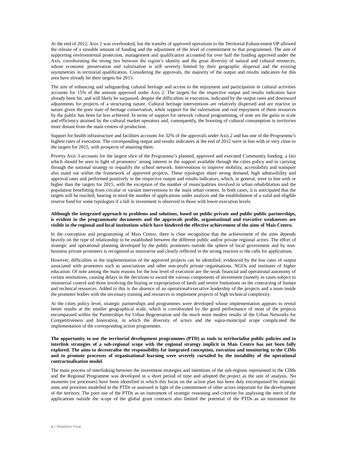At the end of 2012, Axis 2 was overbooked, but the transfer of approved operations to the Territorial Enhancement OP allowed the release of a sizeable amount of funding and the adjustment of the level of commitment to that programmed. The aim of supporting environmental protection, management and qualification accounted for over half the funding approved under the Axis, corroborating the strong ties between the region's identity and the great diversity of natural and cultural resources, whose economic preservation and valorisation is still severely limited by their geographic dispersal and the existing asymmetries in territorial qualification. Considering the approvals, the majority of the output and results indicators for this area have already hit their targets for 2015.

The aim of enhancing and safeguarding cultural heritage and access to the enjoyment and participation in cultural activities accounts for 15% of the amount approved under Axis 2. The targets for the respective output and results indicators have already been hit, and will likely be surpassed, despite the difficulties in execution, indicated by the output rates and downward adjustments for projects of a structuring nature. Cultural heritage interventions are relatively dispersed and are reactive in nature given the poor state of heritage conservation, while support for the valorisation and real enjoyment of these resources by the public has been far less achieved. In terms of support for network cultural programming, of note are the gains in scale and efficiency attained by the cultural market operators and, consequently, the boosting of cultural consumption in territories more distant from the main centres of production.

Support for health infrastructure and facilities accounts for 32% of the approvals under Axis 2 and has one of the Programme's highest rates of execution. The corresponding output and results indicators at the end of 2012 were in line with or very close to the targets for 2015, with prospects of attaining them.

Priority Axis 3 accounts for the largest slice of the Programme's planned, approved and executed Community funding, a fact which should be seen in light of promoters' strong interest in the support available through the cities policy and in carrying through the national strategy to requalify the school network. Interventions to improve mobility, accessibility and transport also stand out within the framework of approved projects. These typologies share strong demand, high admissibility and approval rates and performed positively in the respective output and results indicators, which, in general, were in line with or higher than the targets for 2015, with the exception of the number of municipalities involved in urban rehabilitation and the population benefitting from circular or variant interventions to the main urban centres. In both cases, it is anticipated that the targets will be reached, bearing in mind the number of applications under analysis and the establishment of a valid and eligible reserve fund for some typologies if a fall in investment is observed in those with lower execution levels.

#### **Although the integrated approach to problems and solutions, based on public-private and public-public partnerships, is evident in the programmatic documents and the approvals profile, organisational and executive weaknesses are visible in the regional and local institutions which have hindered the effective achievement of the aims of Mais Centro.**

In the conception and programming of Mais Centro, there is clear recognition that the achievement of the aims depends heavily on the type of relationship to be established between the different public and/or private regional actors. The effort of strategic and operational planning developed by the public promoters outside the sphere of local government and by nonbusiness private promoters is recognised as innovative and clearly reflected in the strong reaction to the calls for applications.

However, difficulties in the implementation of the approved projects can be identified, evidenced by the low rates of output associated with promoters such as associations and other non-profit private organisations, NGOs and institutes of higher education. Of note among the main reasons for the low level of execution are the weak financial and operational autonomy of certain institutions, causing delays in the decisions to award the various components of investment (namely in cases subject to ministerial control and those involving the buying or expropriation of land) and severe limitations on the contracting of human and technical resources. Added to this is the absence of an operational/executive leadership of the projects and a team inside the promoter bodies with the necessary training and resources to implement projects of high technical complexity.

At the cities policy level, strategic partnerships and programmes were developed whose implementation appears to reveal better results at the smaller geographical scale, which is corroborated by the good performance of most of the projects encompassed within the Partnerships for Urban Regeneration and the much more modest results of the Urban Networks for Competitiveness and Innovation, in which the diversity of actors and the supra-municipal scope complicated the implementation of the corresponding action programmes.

## **The opportunity to use the territorial development programmes (PTD) as tools to territorialise public policies and to interlink strategies of a sub-regional scope with the regional strategy implicit in Mais Centro has not been fully explored. The aims to decentralise the responsibility for integrated conception, execution and monitoring to the CIMs and to promote processes of organisational learning were severely curtailed by the instability of the operational contractualisation model.**

The main process of interlinking between the investment strategies and intentions of the sub-regions represented in the CIMs and the Regional Programme was developed in a short period of time and adopted the project as the unit of analysis. No moments (or processes) have been identified in which this focus on the action plan has been duly encompassed by strategic aims and priorities modelled in the PTDs or assessed in light of the commitment of other actors important for the development of the territory. The poor use of the PTDs as an instrument of strategic reasoning and criterion for analysing the merit of the applications outside the scope of the global grant contracts also limited the potential of the PTDs as an instrument for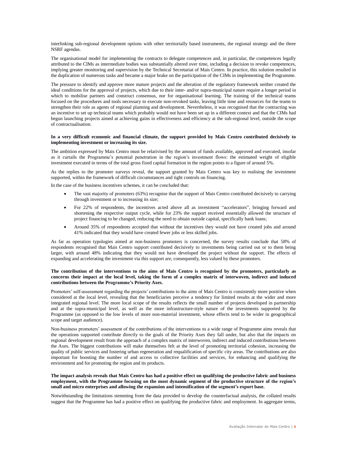interlinking sub-regional development options with other territorially based instruments, the regional strategy and the three NSRF agendas.

The organisational model for implementing the contracts to delegate competences and, in particular, the competences legally attributed to the CIMs as intermediate bodies was substantially altered over time, including a decision to revoke competences, implying greater monitoring and supervision by the Technical Secretariat of Mais Centro. In practice, this solution resulted in the duplication of numerous tasks and became a major brake on the participation of the CIMs in implementing the Programme.

The pressure to identify and approve more mature projects and the alteration of the regulatory framework neither created the ideal conditions for the approval of projects, which due to their inter- and/or supra-municipal nature require a longer period in which to mobilise partners and construct consensus, nor for organisational learning. The training of the technical teams focused on the procedures and tools necessary to execute non-revoked tasks, leaving little time and resources for the teams to strengthen their role as agents of regional planning and development. Nevertheless, it was recognised that the contracting was an incentive to set up technical teams which probably would not have been set up in a different context and that the CIMs had begun launching projects aimed at achieving gains in effectiveness and efficiency at the sub-regional level, outside the scope of contractualisation.

#### **In a very difficult economic and financial climate, the support provided by Mais Centro contributed decisively to implementing investment or increasing its size.**

The ambition expressed by Mais Centro must be relativised by the amount of funds available, approved and executed, insofar as it curtails the Programme's potential penetration in the region's investment flows: the estimated weight of eligible investment executed in terms of the total gross fixed capital formation in the region points to a figure of around 5%.

As the replies to the promoter surveys reveal, the support granted by Mais Centro was key to realising the investment supported, within the framework of difficult circumstances and tight controls on financing.

In the case of the business incentives schemes, it can be concluded that:

- The vast majority of promoters (63%) recognise that the support of Mais Centro contributed decisively to carrying through investment or to increasing its size;
- For 22% of respondents, the incentives acted above all as investment "accelerators", bringing forward and shortening the respective output cycle, while for 23% the support received essentially allowed the structure of project financing to be changed, reducing the need to obtain outside capital, specifically bank loans;
- Around 35% of respondents accepted that without the incentives they would not have created jobs and around 41% indicated that they would have created fewer jobs or less skilled jobs.

As far as operation typologies aimed at non-business promoters is concerned, the survey results conclude that 58% of respondents recognised that Mais Centro support contributed decisively to investments being carried out or to them being larger, with around 48% indicating that they would not have developed the project without the support. The effects of expanding and accelerating the investment via this support are, consequently, less valued by these promoters.

#### **The contribution of the interventions to the aims of Mais Centro is recognised by the promoters, particularly as concerns their impact at the local level, taking the form of a complex matrix of interwoven, indirect and induced contributions between the Programme's Priority Axes.**

Promoters' self-assessment regarding the projects' contributions to the aims of Mais Centro is consistently more positive when considered at the local level, revealing that the beneficiaries perceive a tendency for limited results at the wider and more integrated regional level. The more local scope of the results reflects the small number of projects developed in partnership and at the supra-municipal level, as well as the more infrastructure-style nature of the investments supported by the Programme (as opposed to the low levels of more non-material investment, whose effects tend to be wider in geographical scope and target audience).

Non-business promoters' assessment of the contributions of the interventions to a wide range of Programme aims reveals that the operations supported contribute directly to the goals of the Priority Axes they fall under, but also that the impacts on regional development result from the approach of a complex matrix of interwoven, indirect and induced contributions between the Axes. The biggest contributions will make themselves felt at the level of promoting territorial cohesion, increasing the quality of public services and fostering urban regeneration and requalification of specific city areas. The contributions are also important for boosting the number of and access to collective facilities and services, for enhancing and qualifying the environment and for promoting the region and its products.

## **The impact analysis reveals that Mais Centro has had a positive effect on qualifying the productive fabric and business employment, with the Programme focusing on the most dynamic segment of the productive structure of the region's small and micro enterprises and allowing the expansion and intensification of the segment's export base.**

Notwithstanding the limitations stemming from the data provided to develop the counterfactual analysis, the collated results suggest that the Programme has had a positive effect on qualifying the productive fabric and employment. In aggregate terms,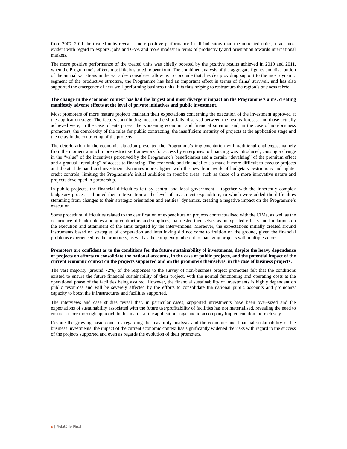from 2007–2011 the treated units reveal a more positive performance in all indicators than the untreated units, a fact most evident with regard to exports, jobs and GVA and more modest in terms of productivity and orientation towards international markets.

The more positive performance of the treated units was chiefly boosted by the positive results achieved in 2010 and 2011, when the Programme's effects most likely started to bear fruit. The combined analysis of the aggregate figures and distribution of the annual variations in the variables considered allow us to conclude that, besides providing support to the most dynamic segment of the productive structure, the Programme has had an important effect in terms of firms' survival, and has also supported the emergence of new well-performing business units. It is thus helping to restructure the region's business fabric.

## **The change in the economic context has had the largest and most divergent impact on the Programme's aims, creating manifestly adverse effects at the level of private initiatives and public investment.**

Most promoters of more mature projects maintain their expectations concerning the execution of the investment approved at the application stage. The factors contributing most to the shortfalls observed between the results forecast and those actually achieved were, in the case of enterprises, the worsening economic and financial situation and, in the case of non-business promoters, the complexity of the rules for public contracting, the insufficient maturity of projects at the application stage and the delay in the contracting of the projects.

The deterioration in the economic situation presented the Programme's implementation with additional challenges, namely from the moment a much more restrictive framework for access by enterprises to financing was introduced, causing a change in the "value" of the incentives perceived by the Programme's beneficiaries and a certain "devaluing" of the premium effect and a gradual "revaluing" of access to financing. The economic and financial crisis made it more difficult to execute projects and dictated demand and investment dynamics more aligned with the new framework of budgetary restrictions and tighter credit controls, limiting the Programme's initial ambition in specific areas, such as those of a more innovative nature and projects developed in partnership.

In public projects, the financial difficulties felt by central and local government – together with the inherently complex budgetary process – limited their intervention at the level of investment expenditure, to which were added the difficulties stemming from changes to their strategic orientation and entities' dynamics, creating a negative impact on the Programme's execution.

Some procedural difficulties related to the certification of expenditure on projects contractualised with the CIMs, as well as the occurrence of bankruptcies among contractors and suppliers, manifested themselves as unexpected effects and limitations on the execution and attainment of the aims targeted by the interventions. Moreover, the expectations initially created around instruments based on strategies of cooperation and interlinking did not come to fruition on the ground, given the financial problems experienced by the promoters, as well as the complexity inherent to managing projects with multiple actors.

#### **Promoters are confident as to the conditions for the future sustainability of investments, despite the heavy dependence of projects on efforts to consolidate the national accounts, in the case of public projects, and the potential impact of the current economic context on the projects supported and on the promoters themselves, in the case of business projects.**

The vast majority (around 72%) of the responses to the survey of non-business project promoters felt that the conditions existed to ensure the future financial sustainability of their project, with the normal functioning and operating costs at the operational phase of the facilities being assured. However, the financial sustainability of investments is highly dependent on public resources and will be severely affected by the efforts to consolidate the national public accounts and promoters' capacity to boost the infrastructures and facilities supported.

The interviews and case studies reveal that, in particular cases, supported investments have been over-sized and the expectations of sustainability associated with the future use/profitability of facilities has not materialised, revealing the need to ensure a more thorough approach in this matter at the application stage and to accompany implementation more closely.

Despite the growing basic concerns regarding the feasibility analysis and the economic and financial sustainability of the business investments, the impact of the current economic context has significantly widened the risks with regard to the success of the projects supported and even as regards the evolution of their promoters.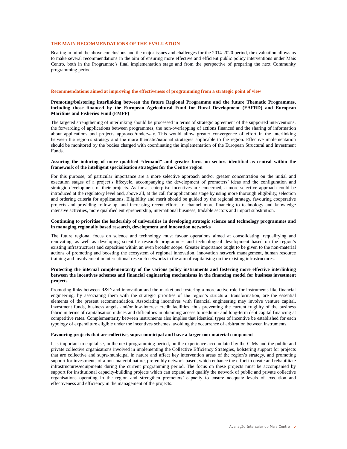# **THE MAIN RECOMMENDATIONS OF THE EVALUATION**

Bearing in mind the above conclusions and the major issues and challenges for the 2014-2020 period, the evaluation allows us to make several recommendations in the aim of ensuring more effective and efficient public policy interventions under Mais Centro, both in the Programme's final implementation stage and from the perspective of preparing the next Community programming period.

#### **Recommendations aimed at improving the effectiveness of programming from a strategic point of view**

## **Promoting/bolstering interlinking between the future Regional Programme and the future Thematic Programmes, including those financed by the European Agricultural Fund for Rural Development (EAFRD) and European Maritime and Fisheries Fund (EMFF)**

The targeted strengthening of interlinking should be processed in terms of strategic agreement of the supported interventions, the forwarding of applications between programmes, the non-overlapping of actions financed and the sharing of information about applications and projects approved/underway. This would allow greater convergence of effort in the interlinking between the region's strategy and the more thematic/national strategies applicable to the region. Effective implementation should be monitored by the bodies charged with coordinating the implementation of the European Structural and Investment Funds.

## **Assuring the inducing of more qualified "demand" and greater focus on sectors identified as central within the framework of the intelligent specialisation strategies for the Centre region**

For this purpose, of particular importance are a more selective approach and/or greater concentration on the initial and execution stages of a project's lifecycle, accompanying the development of promoters' ideas and the configuration and strategic development of their projects. As far as enterprise incentives are concerned, a more selective approach could be introduced at the regulatory level and, above all, at the call for applications stage by using more thorough eligibility, selection and ordering criteria for applications. Eligibility and merit should be guided by the regional strategy, favouring cooperative projects and providing follow-up, and increasing recent efforts to channel more financing to technology and knowledge intensive activities, more qualified entrepreneurship, international business, tradable sectors and import substitution.

#### **Continuing to prioritise the leadership of universities in developing strategic science and technology programmes and in managing regionally based research, development and innovation networks**

The future regional focus on science and technology must favour operations aimed at consolidating, requalifying and renovating, as well as developing scientific research programmes and technological development based on the region's existing infrastructures and capacities within an even broader scope. Greater importance ought to be given to the non-material actions of promoting and boosting the ecosystem of regional innovation, innovation network management, human resource training and involvement in international research networks in the aim of capitalising on the existing infrastructures.

## **Protecting the internal complementarity of the various policy instruments and fostering more effective interlinking between the incentives schemes and financial engineering mechanisms in the financing model for business investment projects**

Promoting links between R&D and innovation and the market and fostering a more active role for instruments like financial engineering, by associating them with the strategic priorities of the region's structural transformation, are the essential elements of the present recommendation. Associating incentives with financial engineering may involve venture capital, investment funds, business angels and/or low-interest credit facilities, thus preventing the current fragility of the business fabric in terms of capitalisation indices and difficulties in obtaining access to medium- and long-term debt capital financing at competitive rates. Complementarity between instruments also implies that identical types of incentive be established for each typology of expenditure eligible under the incentives schemes, avoiding the occurrence of arbitration between instruments.

#### **Favouring projects that are collective, supra-municipal and have a larger non-material component**

It is important to capitalise, in the next programming period, on the experience accumulated by the CIMs and the public and private collective organisations involved in implementing the Collective Efficiency Strategies, bolstering support for projects that are collective and supra-municipal in nature and affect key intervention areas of the region's strategy, and promoting support for investments of a non-material nature, preferably network-based, which enhance the effort to create and rehabilitate infrastructures/equipments during the current programming period. The focus on these projects must be accompanied by support for institutional capacity-building projects which can expand and qualify the network of public and private collective organisations operating in the region and strengthen promoters' capacity to ensure adequate levels of execution and effectiveness and efficiency in the management of the projects.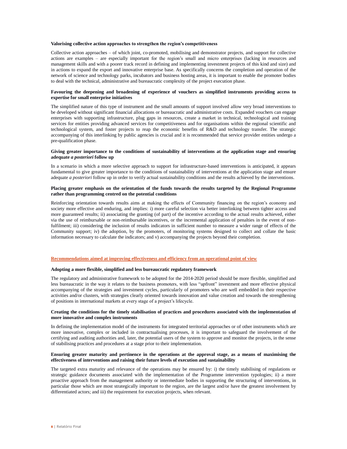#### **Valorising collective action approaches to strengthen the region's competitiveness**

Collective action approaches – of which joint, co-promoted, mobilising and demonstrator projects, and support for collective actions are examples – are especially important for the region's small and micro enterprises (lacking in resources and management skills and with a poorer track record in defining and implementing investment projects of this kind and size) and in actions to expand the export and innovative enterprise base. As specifically concerns the completion and operation of the network of science and technology parks, incubators and business hosting areas, it is important to enable the promoter bodies to deal with the technical, administrative and bureaucratic complexity of the project execution phase.

### **Favouring the deepening and broadening of experience of vouchers as simplified instruments providing access to expertise for small enterprise initiatives**

The simplified nature of this type of instrument and the small amounts of support involved allow very broad interventions to be developed without significant financial allocations or bureaucratic and administrative costs. Expanded vouchers can engage enterprises with supporting infrastructure, plug gaps in resources, create a market in technical, technological and training services for entities providing advanced services for competitiveness and for organisations within the regional scientific and technological system, and foster projects to reap the economic benefits of R&D and technology transfer. The strategic accompanying of this interlinking by public agencies is crucial and it is recommended that service provider entities undergo a pre-qualification phase.

#### **Giving greater importance to the conditions of sustainability of interventions at the application stage and ensuring adequate** *a posteriori* **follow up**

In a scenario in which a more selective approach to support for infrastructure-based interventions is anticipated, it appears fundamental to give greater importance to the conditions of sustainability of interventions at the application stage and ensure adequate *a posteriori* follow up in order to verify actual sustainability conditions and the results achieved by the interventions.

#### **Placing greater emphasis on the orientation of the funds towards the results targeted by the Regional Programme rather than programming centred on the potential conditions**

Reinforcing orientation towards results aims at making the effects of Community financing on the region's economy and society more effective and enduring, and implies: i) more careful selection via better interlinking between tighter access and more guaranteed results; ii) associating the granting (of part) of the incentive according to the actual results achieved, either via the use of reimbursable or non-reimbursable incentives, or the incremental application of penalties in the event of nonfulfilment; iii) considering the inclusion of results indicators in sufficient number to measure a wider range of effects of the Community support; iv) the adoption, by the promoters, of monitoring systems designed to collect and collate the basic information necessary to calculate the indicators; and v) accompanying the projects beyond their completion.

## **Recommendations aimed at improving effectiveness and efficiency from an operational point of view**

## **Adopting a more flexible, simplified and less bureaucratic regulatory framework**

The regulatory and administrative framework to be adopted for the 2014-2020 period should be more flexible, simplified and less bureaucratic in the way it relates to the business promoters, with less "upfront" investment and more effective physical accompanying of the strategies and investment cycles, particularly of promoters who are well embedded in their respective activities and/or clusters, with strategies clearly oriented towards innovation and value creation and towards the strengthening of positions in international markets at every stage of a project's lifecycle.

#### **Creating the conditions for the timely stabilisation of practices and procedures associated with the implementation of more innovative and complex instruments**

In defining the implementation model of the instruments for integrated territorial approaches or of other instruments which are more innovative, complex or included in contractualising processes, it is important to safeguard the involvement of the certifying and auditing authorities and, later, the potential users of the system to approve and monitor the projects, in the sense of stabilising practices and procedures at a stage prior to their implementation.

## **Ensuring greater maturity and pertinence in the operations at the approval stage, as a means of maximising the effectiveness of interventions and raising their future levels of execution and sustainability**

The targeted extra maturity and relevance of the operations may be ensured by: i) the timely stabilising of regulations or strategic guidance documents associated with the implementation of the Programme intervention typologies; ii) a more proactive approach from the management authority or intermediate bodies in supporting the structuring of interventions, in particular those which are most strategically important to the region, are the largest and/or have the greatest involvement by differentiated actors; and iii) the requirement for execution projects, when relevant.